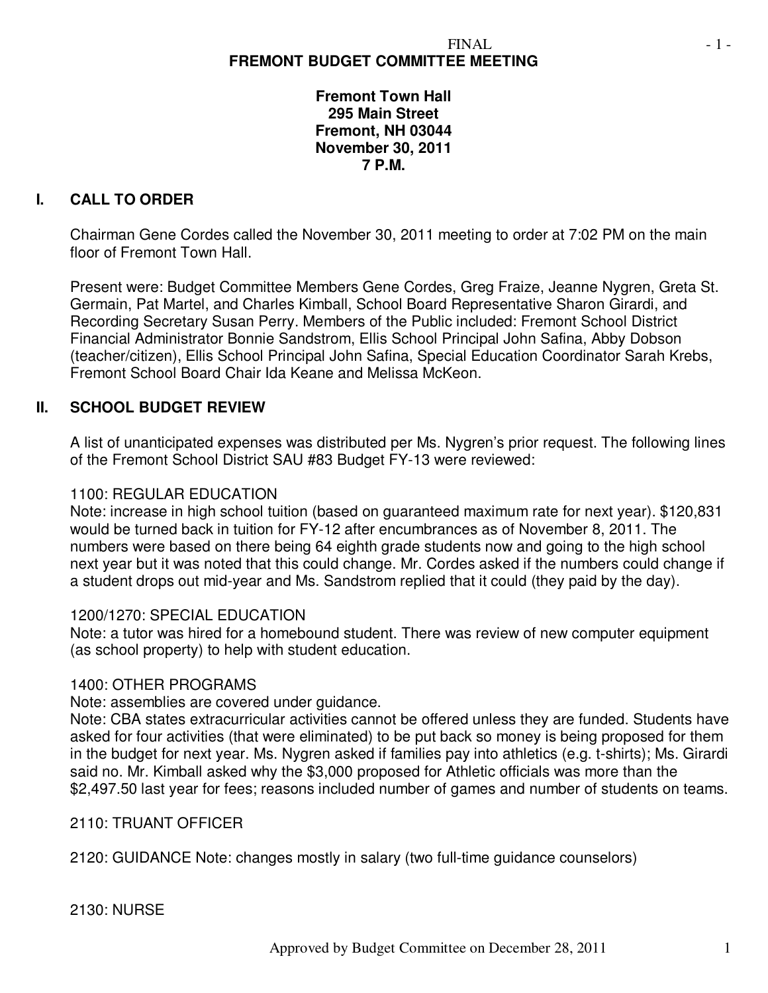# **FREMONT BUDGET COMMITTEE MEETING**

**Fremont Town Hall 295 Main Street Fremont, NH 03044 November 30, 2011 7 P.M.** 

### **I. CALL TO ORDER**

Chairman Gene Cordes called the November 30, 2011 meeting to order at 7:02 PM on the main floor of Fremont Town Hall.

Present were: Budget Committee Members Gene Cordes, Greg Fraize, Jeanne Nygren, Greta St. Germain, Pat Martel, and Charles Kimball, School Board Representative Sharon Girardi, and Recording Secretary Susan Perry. Members of the Public included: Fremont School District Financial Administrator Bonnie Sandstrom, Ellis School Principal John Safina, Abby Dobson (teacher/citizen), Ellis School Principal John Safina, Special Education Coordinator Sarah Krebs, Fremont School Board Chair Ida Keane and Melissa McKeon.

### **II. SCHOOL BUDGET REVIEW**

A list of unanticipated expenses was distributed per Ms. Nygren's prior request. The following lines of the Fremont School District SAU #83 Budget FY-13 were reviewed:

#### 1100: REGULAR EDUCATION

Note: increase in high school tuition (based on guaranteed maximum rate for next year). \$120,831 would be turned back in tuition for FY-12 after encumbrances as of November 8, 2011. The numbers were based on there being 64 eighth grade students now and going to the high school next year but it was noted that this could change. Mr. Cordes asked if the numbers could change if a student drops out mid-year and Ms. Sandstrom replied that it could (they paid by the day).

#### 1200/1270: SPECIAL EDUCATION

Note: a tutor was hired for a homebound student. There was review of new computer equipment (as school property) to help with student education.

#### 1400: OTHER PROGRAMS

Note: assemblies are covered under guidance.

Note: CBA states extracurricular activities cannot be offered unless they are funded. Students have asked for four activities (that were eliminated) to be put back so money is being proposed for them in the budget for next year. Ms. Nygren asked if families pay into athletics (e.g. t-shirts); Ms. Girardi said no. Mr. Kimball asked why the \$3,000 proposed for Athletic officials was more than the \$2,497.50 last year for fees; reasons included number of games and number of students on teams.

#### 2110: TRUANT OFFICER

2120: GUIDANCE Note: changes mostly in salary (two full-time guidance counselors)

2130: NURSE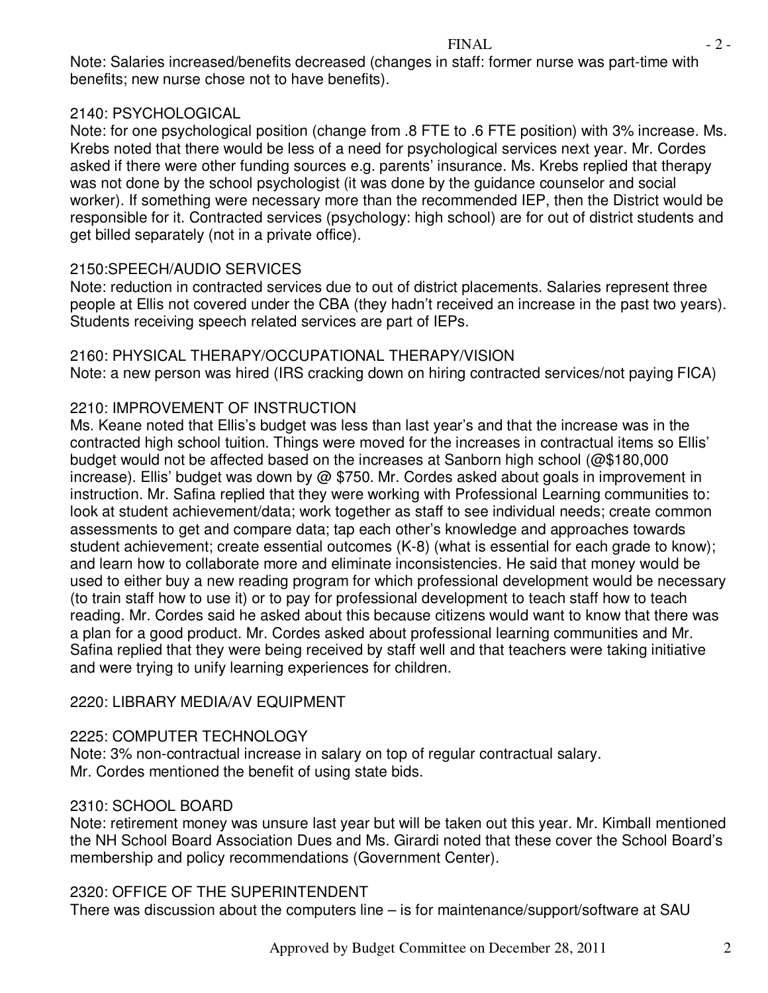Note: Salaries increased/benefits decreased (changes in staff: former nurse was part-time with benefits; new nurse chose not to have benefits).

### 2140: PSYCHOLOGICAL

Note: for one psychological position (change from .8 FTE to .6 FTE position) with 3% increase. Ms. Krebs noted that there would be less of a need for psychological services next year. Mr. Cordes asked if there were other funding sources e.g. parents' insurance. Ms. Krebs replied that therapy was not done by the school psychologist (it was done by the guidance counselor and social worker). If something were necessary more than the recommended IEP, then the District would be responsible for it. Contracted services (psychology: high school) are for out of district students and get billed separately (not in a private office).

### 2150:SPEECH/AUDIO SERVICES

Note: reduction in contracted services due to out of district placements. Salaries represent three people at Ellis not covered under the CBA (they hadn't received an increase in the past two years). Students receiving speech related services are part of IEPs.

### 2160: PHYSICAL THERAPY/OCCUPATIONAL THERAPY/VISION

Note: a new person was hired (IRS cracking down on hiring contracted services/not paying FICA)

## 2210: IMPROVEMENT OF INSTRUCTION

Ms. Keane noted that Ellis's budget was less than last year's and that the increase was in the contracted high school tuition. Things were moved for the increases in contractual items so Ellis' budget would not be affected based on the increases at Sanborn high school (@\$180,000 increase). Ellis' budget was down by @ \$750. Mr. Cordes asked about goals in improvement in instruction. Mr. Safina replied that they were working with Professional Learning communities to: look at student achievement/data; work together as staff to see individual needs; create common assessments to get and compare data; tap each other's knowledge and approaches towards student achievement; create essential outcomes (K-8) (what is essential for each grade to know); and learn how to collaborate more and eliminate inconsistencies. He said that money would be used to either buy a new reading program for which professional development would be necessary (to train staff how to use it) or to pay for professional development to teach staff how to teach reading. Mr. Cordes said he asked about this because citizens would want to know that there was a plan for a good product. Mr. Cordes asked about professional learning communities and Mr. Safina replied that they were being received by staff well and that teachers were taking initiative and were trying to unify learning experiences for children.

### 2220: LIBRARY MEDIA/AV EQUIPMENT

### 2225: COMPUTER TECHNOLOGY

Note: 3% non-contractual increase in salary on top of regular contractual salary. Mr. Cordes mentioned the benefit of using state bids.

# 2310: SCHOOL BOARD

Note: retirement money was unsure last year but will be taken out this year. Mr. Kimball mentioned the NH School Board Association Dues and Ms. Girardi noted that these cover the School Board's membership and policy recommendations (Government Center).

### 2320: OFFICE OF THE SUPERINTENDENT

There was discussion about the computers line – is for maintenance/support/software at SAU